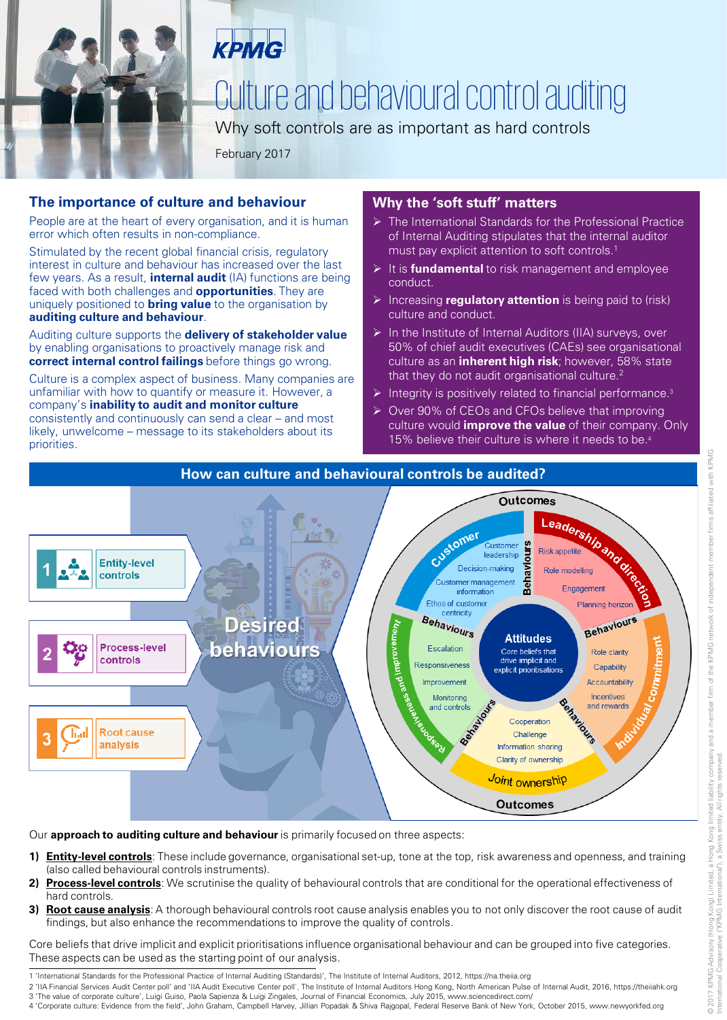

KPMG

## Culture and behavioural control auditing

Why soft controls are as important as hard controls

February 2017

#### **The importance of culture and behaviour**

People are at the heart of every organisation, and it is human error which often results in non-compliance.

Stimulated by the recent global financial crisis, regulatory interest in culture and behaviour has increased over the last few years. As a result, **internal audit** (IA) functions are being faced with both challenges and **opportunities**. They are uniquely positioned to **bring value** to the organisation by **auditing culture and behaviour**.

Auditing culture supports the **delivery of stakeholder value**  by enabling organisations to proactively manage risk and **correct internal control failings** before things go wrong.

Culture is a complex aspect of business. Many companies are unfamiliar with how to quantify or measure it. However, a company's **inability to audit and monitor culture**  consistently and continuously can send a clear – and most likely, unwelcome – message to its stakeholders about its priorities.

#### **Why the 'soft stuff' matters**

- > The International Standards for the Professional Practice of Internal Auditing stipulates that the internal auditor must pay explicit attention to soft controls.1
- It is **fundamental** to risk management and employee conduct.
- Increasing **regulatory attention** is being paid to (risk) culture and conduct.
- $\triangleright$  In the Institute of Internal Auditors (IIA) surveys, over 50% of chief audit executives (CAEs) see organisational culture as an **inherent high risk**; however, 58% state that they do not audit organisational culture.<sup>2</sup>
- Integrity is positively related to financial performance.<sup>3</sup>
- ▶ Over 90% of CEOs and CFOs believe that improving culture would **improve the value** of their company. Only 15% believe their culture is where it needs to be.4



Our **approach to auditing culture and behaviour** is primarily focused on three aspects:

- **1) Entity-level controls**: These include governance, organisational set-up, tone at the top, risk awareness and openness, and training (also called behavioural controls instruments).
- **2) Process-level controls**: We scrutinise the quality of behavioural controls that are conditional for the operational effectiveness of hard controls.
- **3) Root cause analysis**: A thorough behavioural controls root cause analysis enables you to not only discover the root cause of audit findings, but also enhance the recommendations to improve the quality of controls.

Core beliefs that drive implicit and explicit prioritisations influence organisational behaviour and can be grouped into five categories. These aspects can be used as the starting point of our analysis.

- 1 'International Standards for the Professional Practice of Internal Auditing (Standards)', The Institute of Internal Auditors, 2012, https://na.theiia.org
- 2 'IIA Financial Services Audit Center poll' and 'IIA Audit Executive Center poll', The Institute of Internal Auditors Hong Kong, North American Pulse of Internal Audit, 2016, https://theiiahk.org
- 3 'The value of corporate culture', Luigi Guiso, Paola Sapienza & Luigi Zingales, Journal of Financial Economics, July 2015, www.sciencedirect.com/

4 'Corporate culture: Evidence from the field', John Graham, Campbell Harvey, Jillian Popadak & Shiva Rajgopal, Federal Reserve Bank of New York, October 2015, www.newyorkfed.org